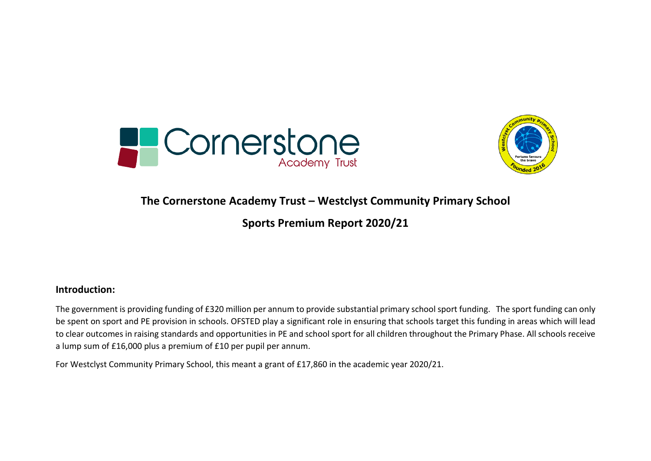



### **The Cornerstone Academy Trust – Westclyst Community Primary School**

### **Sports Premium Report 2020/21**

#### **Introduction:**

The government is providing funding of £320 million per annum to provide substantial primary school sport funding. The sport funding can only be spent on sport and PE provision in schools. OFSTED play a significant role in ensuring that schools target this funding in areas which will lead to clear outcomes in raising standards and opportunities in PE and school sport for all children throughout the Primary Phase. All schools receive a lump sum of £16,000 plus a premium of £10 per pupil per annum.

For Westclyst Community Primary School, this meant a grant of £17,860 in the academic year 2020/21.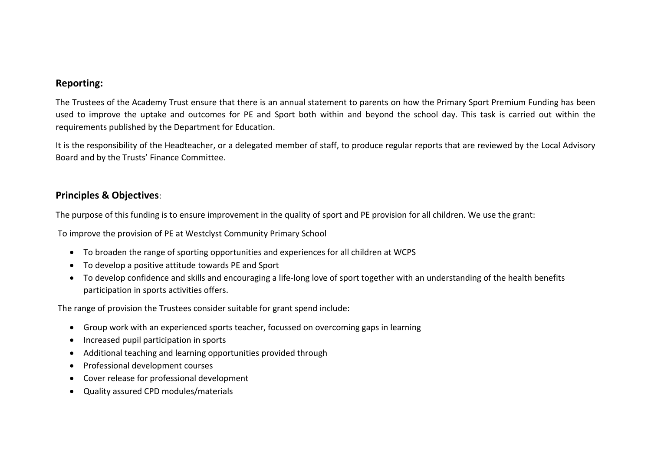#### **Reporting:**

The Trustees of the Academy Trust ensure that there is an annual statement to parents on how the Primary Sport Premium Funding has been used to improve the uptake and outcomes for PE and Sport both within and beyond the school day. This task is carried out within the requirements published by the Department for Education.

It is the responsibility of the Headteacher, or a delegated member of staff, to produce regular reports that are reviewed by the Local Advisory Board and by the Trusts' Finance Committee.

#### **Principles & Objectives**:

The purpose of this funding is to ensure improvement in the quality of sport and PE provision for all children. We use the grant:

To improve the provision of PE at Westclyst Community Primary School

- To broaden the range of sporting opportunities and experiences for all children at WCPS
- To develop a positive attitude towards PE and Sport
- To develop confidence and skills and encouraging a life-long love of sport together with an understanding of the health benefits participation in sports activities offers.

The range of provision the Trustees consider suitable for grant spend include:

- Group work with an experienced sports teacher, focussed on overcoming gaps in learning
- Increased pupil participation in sports
- Additional teaching and learning opportunities provided through
- Professional development courses
- Cover release for professional development
- Quality assured CPD modules/materials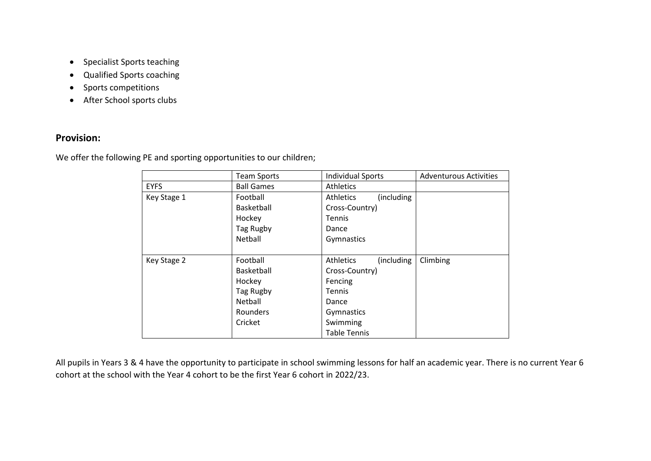- Specialist Sports teaching
- Qualified Sports coaching
- Sports competitions
- After School sports clubs

### **Provision:**

We offer the following PE and sporting opportunities to our children;

|             | <b>Team Sports</b> | <b>Individual Sports</b>       | <b>Adventurous Activities</b> |
|-------------|--------------------|--------------------------------|-------------------------------|
| <b>EYFS</b> | <b>Ball Games</b>  | <b>Athletics</b>               |                               |
| Key Stage 1 | Football           | Athletics<br>(including        |                               |
|             | Basketball         | Cross-Country)                 |                               |
|             | Hockey             | <b>Tennis</b>                  |                               |
|             | Tag Rugby          | Dance                          |                               |
|             | Netball            | Gymnastics                     |                               |
|             |                    |                                |                               |
| Key Stage 2 | Football           | (including<br><b>Athletics</b> | Climbing                      |
|             | Basketball         | Cross-Country)                 |                               |
|             | Hockey             | Fencing                        |                               |
|             | Tag Rugby          | Tennis                         |                               |
|             | Netball            | Dance                          |                               |
|             | Rounders           | Gymnastics                     |                               |
|             | Cricket            | Swimming                       |                               |
|             |                    | <b>Table Tennis</b>            |                               |

All pupils in Years 3 & 4 have the opportunity to participate in school swimming lessons for half an academic year. There is no current Year 6 cohort at the school with the Year 4 cohort to be the first Year 6 cohort in 2022/23.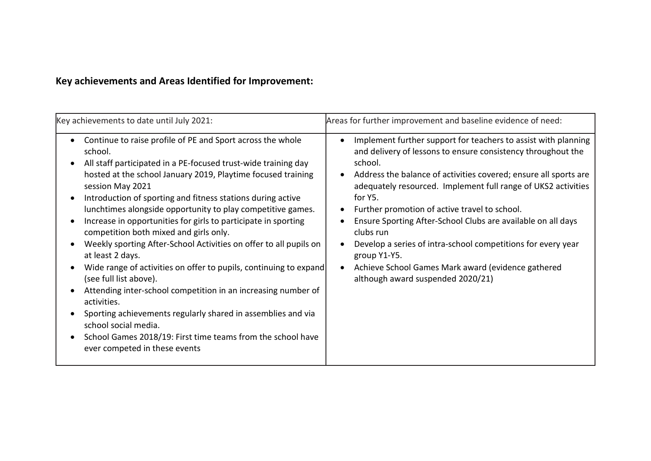# **Key achievements and Areas Identified for Improvement:**

| Continue to raise profile of PE and Sport across the whole<br>Implement further support for teachers to assist with planning<br>$\bullet$<br>and delivery of lessons to ensure consistency throughout the<br>school.<br>school.<br>All staff participated in a PE-focused trust-wide training day<br>hosted at the school January 2019, Playtime focused training<br>Address the balance of activities covered; ensure all sports are<br>adequately resourced. Implement full range of UKS2 activities<br>session May 2021<br>for Y5.<br>Introduction of sporting and fitness stations during active<br>lunchtimes alongside opportunity to play competitive games.<br>Further promotion of active travel to school.<br>Increase in opportunities for girls to participate in sporting<br>Ensure Sporting After-School Clubs are available on all days<br>competition both mixed and girls only.<br>clubs run<br>Weekly sporting After-School Activities on offer to all pupils on<br>Develop a series of intra-school competitions for every year<br>at least 2 days.<br>group Y1-Y5.<br>Wide range of activities on offer to pupils, continuing to expand<br>Achieve School Games Mark award (evidence gathered<br>(see full list above).<br>although award suspended 2020/21)<br>Attending inter-school competition in an increasing number of<br>activities.<br>Sporting achievements regularly shared in assemblies and via<br>school social media.<br>School Games 2018/19: First time teams from the school have<br>ever competed in these events | Key achievements to date until July 2021: | Areas for further improvement and baseline evidence of need: |
|----------------------------------------------------------------------------------------------------------------------------------------------------------------------------------------------------------------------------------------------------------------------------------------------------------------------------------------------------------------------------------------------------------------------------------------------------------------------------------------------------------------------------------------------------------------------------------------------------------------------------------------------------------------------------------------------------------------------------------------------------------------------------------------------------------------------------------------------------------------------------------------------------------------------------------------------------------------------------------------------------------------------------------------------------------------------------------------------------------------------------------------------------------------------------------------------------------------------------------------------------------------------------------------------------------------------------------------------------------------------------------------------------------------------------------------------------------------------------------------------------------------------------------------------------------|-------------------------------------------|--------------------------------------------------------------|
|                                                                                                                                                                                                                                                                                                                                                                                                                                                                                                                                                                                                                                                                                                                                                                                                                                                                                                                                                                                                                                                                                                                                                                                                                                                                                                                                                                                                                                                                                                                                                          |                                           |                                                              |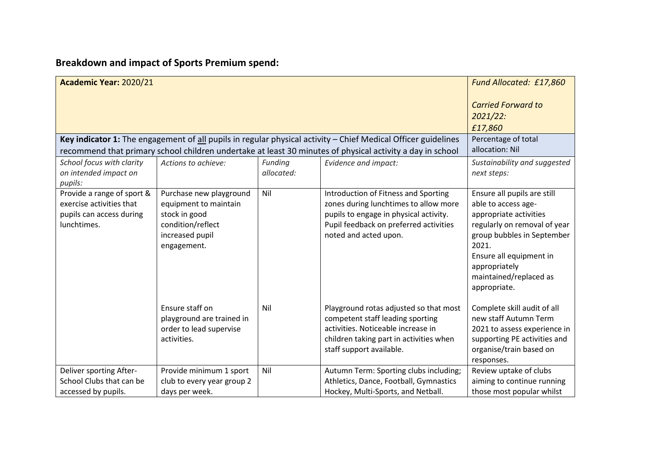# **Breakdown and impact of Sports Premium spend:**

| Academic Year: 2020/21                                                                            |                                                                                                                          |     |                                                                                                                                                                                                                                | Fund Allocated: £17,860                                                                                                                                                                                                                   |
|---------------------------------------------------------------------------------------------------|--------------------------------------------------------------------------------------------------------------------------|-----|--------------------------------------------------------------------------------------------------------------------------------------------------------------------------------------------------------------------------------|-------------------------------------------------------------------------------------------------------------------------------------------------------------------------------------------------------------------------------------------|
|                                                                                                   | <b>Carried Forward to</b><br>$2021/22$ :<br>£17,860                                                                      |     |                                                                                                                                                                                                                                |                                                                                                                                                                                                                                           |
|                                                                                                   |                                                                                                                          |     | Key indicator 1: The engagement of $all$ pupils in regular physical activity $-$ Chief Medical Officer guidelines<br>recommend that primary school children undertake at least 30 minutes of physical activity a day in school | Percentage of total<br>allocation: Nil                                                                                                                                                                                                    |
| School focus with clarity<br>on intended impact on<br>pupils:                                     | Sustainability and suggested<br>next steps:                                                                              |     |                                                                                                                                                                                                                                |                                                                                                                                                                                                                                           |
| Provide a range of sport &<br>exercise activities that<br>pupils can access during<br>lunchtimes. | Purchase new playground<br>equipment to maintain<br>stock in good<br>condition/reflect<br>increased pupil<br>engagement. | Nil | Introduction of Fitness and Sporting<br>zones during lunchtimes to allow more<br>pupils to engage in physical activity.<br>Pupil feedback on preferred activities<br>noted and acted upon.                                     | Ensure all pupils are still<br>able to access age-<br>appropriate activities<br>regularly on removal of year<br>group bubbles in September<br>2021.<br>Ensure all equipment in<br>appropriately<br>maintained/replaced as<br>appropriate. |
|                                                                                                   | Ensure staff on<br>playground are trained in<br>order to lead supervise<br>activities.                                   | Nil | Playground rotas adjusted so that most<br>competent staff leading sporting<br>activities. Noticeable increase in<br>children taking part in activities when<br>staff support available.                                        | Complete skill audit of all<br>new staff Autumn Term<br>2021 to assess experience in<br>supporting PE activities and<br>organise/train based on<br>responses.                                                                             |
| Deliver sporting After-<br>School Clubs that can be<br>accessed by pupils.                        | Provide minimum 1 sport<br>club to every year group 2<br>days per week.                                                  | Nil | Autumn Term: Sporting clubs including;<br>Athletics, Dance, Football, Gymnastics<br>Hockey, Multi-Sports, and Netball.                                                                                                         | Review uptake of clubs<br>aiming to continue running<br>those most popular whilst                                                                                                                                                         |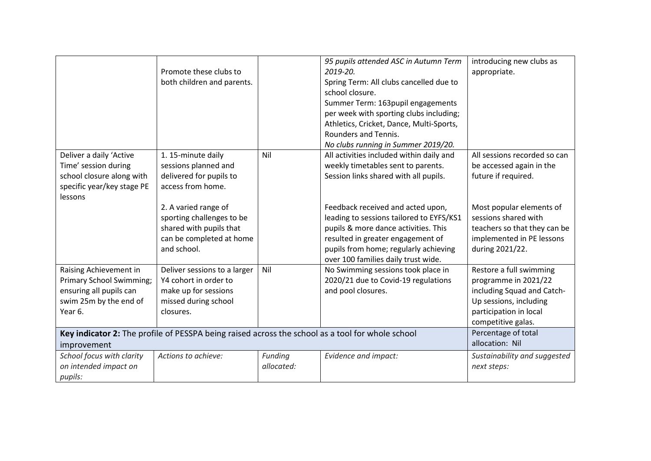|                            |                                                                                                  |            | 95 pupils attended ASC in Autumn Term    | introducing new clubs as     |
|----------------------------|--------------------------------------------------------------------------------------------------|------------|------------------------------------------|------------------------------|
|                            | Promote these clubs to                                                                           |            | 2019-20.                                 | appropriate.                 |
|                            | both children and parents.                                                                       |            | Spring Term: All clubs cancelled due to  |                              |
|                            |                                                                                                  |            | school closure.                          |                              |
|                            |                                                                                                  |            | Summer Term: 163 pupil engagements       |                              |
|                            |                                                                                                  |            | per week with sporting clubs including;  |                              |
|                            |                                                                                                  |            | Athletics, Cricket, Dance, Multi-Sports, |                              |
|                            |                                                                                                  |            | <b>Rounders and Tennis.</b>              |                              |
|                            |                                                                                                  |            | No clubs running in Summer 2019/20.      |                              |
| Deliver a daily 'Active    | 1. 15-minute daily                                                                               | Nil        | All activities included within daily and | All sessions recorded so can |
| Time' session during       | sessions planned and                                                                             |            | weekly timetables sent to parents.       | be accessed again in the     |
| school closure along with  | delivered for pupils to                                                                          |            | Session links shared with all pupils.    | future if required.          |
| specific year/key stage PE | access from home.                                                                                |            |                                          |                              |
| lessons                    |                                                                                                  |            |                                          |                              |
|                            | 2. A varied range of                                                                             |            | Feedback received and acted upon,        | Most popular elements of     |
|                            | sporting challenges to be                                                                        |            | leading to sessions tailored to EYFS/KS1 | sessions shared with         |
|                            | shared with pupils that                                                                          |            | pupils & more dance activities. This     | teachers so that they can be |
|                            | can be completed at home                                                                         |            | resulted in greater engagement of        | implemented in PE lessons    |
|                            | and school.                                                                                      |            | pupils from home; regularly achieving    | during 2021/22.              |
|                            |                                                                                                  |            | over 100 families daily trust wide.      |                              |
| Raising Achievement in     | Deliver sessions to a larger                                                                     | Nil        | No Swimming sessions took place in       | Restore a full swimming      |
| Primary School Swimming;   | Y4 cohort in order to                                                                            |            | 2020/21 due to Covid-19 regulations      | programme in 2021/22         |
| ensuring all pupils can    | make up for sessions                                                                             |            | and pool closures.                       | including Squad and Catch-   |
| swim 25m by the end of     | missed during school                                                                             |            |                                          | Up sessions, including       |
| Year 6.                    | closures.                                                                                        |            |                                          | participation in local       |
|                            |                                                                                                  |            |                                          | competitive galas.           |
|                            | Key indicator 2: The profile of PESSPA being raised across the school as a tool for whole school |            |                                          | Percentage of total          |
| improvement                |                                                                                                  |            |                                          | allocation: Nil              |
| School focus with clarity  | Actions to achieve:                                                                              | Funding    | Evidence and impact:                     | Sustainability and suggested |
| on intended impact on      |                                                                                                  | allocated: |                                          | next steps:                  |
| pupils:                    |                                                                                                  |            |                                          |                              |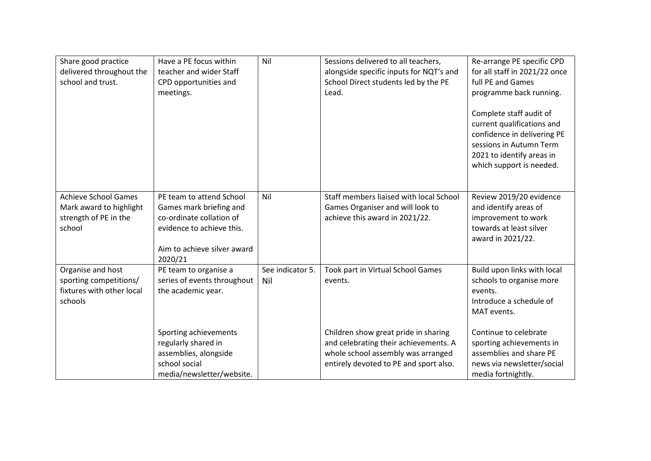| Share good practice<br>delivered throughout the<br>school and trust.                      | Have a PE focus within<br>teacher and wider Staff<br>CPD opportunities and<br>meetings.                                                                | Nil                     | Sessions delivered to all teachers,<br>alongside specific inputs for NQT's and<br>School Direct students led by the PE<br>Lead.                               | Re-arrange PE specific CPD<br>for all staff in 2021/22 once<br>full PE and Games<br>programme back running.<br>Complete staff audit of<br>current qualifications and<br>confidence in delivering PE<br>sessions in Autumn Term<br>2021 to identify areas in<br>which support is needed. |
|-------------------------------------------------------------------------------------------|--------------------------------------------------------------------------------------------------------------------------------------------------------|-------------------------|---------------------------------------------------------------------------------------------------------------------------------------------------------------|-----------------------------------------------------------------------------------------------------------------------------------------------------------------------------------------------------------------------------------------------------------------------------------------|
| <b>Achieve School Games</b><br>Mark award to highlight<br>strength of PE in the<br>school | PE team to attend School<br>Games mark briefing and<br>co-ordinate collation of<br>evidence to achieve this.<br>Aim to achieve silver award<br>2020/21 | Nil                     | Staff members liaised with local School<br>Games Organiser and will look to<br>achieve this award in 2021/22.                                                 | Review 2019/20 evidence<br>and identify areas of<br>improvement to work<br>towards at least silver<br>award in 2021/22.                                                                                                                                                                 |
| Organise and host<br>sporting competitions/<br>fixtures with other local<br>schools       | PE team to organise a<br>series of events throughout<br>the academic year.                                                                             | See indicator 5.<br>Nil | Took part in Virtual School Games<br>events.                                                                                                                  | Build upon links with local<br>schools to organise more<br>events.<br>Introduce a schedule of<br>MAT events.                                                                                                                                                                            |
|                                                                                           | Sporting achievements<br>regularly shared in<br>assemblies, alongside<br>school social<br>media/newsletter/website.                                    |                         | Children show great pride in sharing<br>and celebrating their achievements. A<br>whole school assembly was arranged<br>entirely devoted to PE and sport also. | Continue to celebrate<br>sporting achievements in<br>assemblies and share PE<br>news via newsletter/social<br>media fortnightly.                                                                                                                                                        |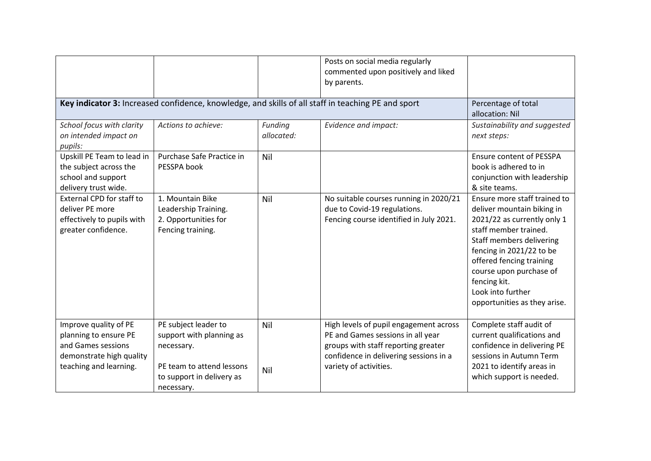|                                                                                                                            |                                                                                                                                        |                       | Posts on social media regularly<br>commented upon positively and liked<br>by parents.                                                                                                  |                                                                                                                                                                                                                                                                                                        |
|----------------------------------------------------------------------------------------------------------------------------|----------------------------------------------------------------------------------------------------------------------------------------|-----------------------|----------------------------------------------------------------------------------------------------------------------------------------------------------------------------------------|--------------------------------------------------------------------------------------------------------------------------------------------------------------------------------------------------------------------------------------------------------------------------------------------------------|
|                                                                                                                            | Key indicator 3: Increased confidence, knowledge, and skills of all staff in teaching PE and sport                                     |                       |                                                                                                                                                                                        | Percentage of total<br>allocation: Nil                                                                                                                                                                                                                                                                 |
| School focus with clarity<br>on intended impact on<br>pupils:                                                              | Actions to achieve:                                                                                                                    | Funding<br>allocated: | Evidence and impact:                                                                                                                                                                   | Sustainability and suggested<br>next steps:                                                                                                                                                                                                                                                            |
| Upskill PE Team to lead in<br>the subject across the<br>school and support<br>delivery trust wide.                         | Purchase Safe Practice in<br>PESSPA book                                                                                               | Nil                   |                                                                                                                                                                                        | <b>Ensure content of PESSPA</b><br>book is adhered to in<br>conjunction with leadership<br>& site teams.                                                                                                                                                                                               |
| External CPD for staff to<br>deliver PE more<br>effectively to pupils with<br>greater confidence.                          | 1. Mountain Bike<br>Leadership Training.<br>2. Opportunities for<br>Fencing training.                                                  | Nil                   | No suitable courses running in 2020/21<br>due to Covid-19 regulations.<br>Fencing course identified in July 2021.                                                                      | Ensure more staff trained to<br>deliver mountain biking in<br>2021/22 as currently only 1<br>staff member trained.<br>Staff members delivering<br>fencing in 2021/22 to be<br>offered fencing training<br>course upon purchase of<br>fencing kit.<br>Look into further<br>opportunities as they arise. |
| Improve quality of PE<br>planning to ensure PE<br>and Games sessions<br>demonstrate high quality<br>teaching and learning. | PE subject leader to<br>support with planning as<br>necessary.<br>PE team to attend lessons<br>to support in delivery as<br>necessary. | Nil<br>Nil            | High levels of pupil engagement across<br>PE and Games sessions in all year<br>groups with staff reporting greater<br>confidence in delivering sessions in a<br>variety of activities. | Complete staff audit of<br>current qualifications and<br>confidence in delivering PE<br>sessions in Autumn Term<br>2021 to identify areas in<br>which support is needed.                                                                                                                               |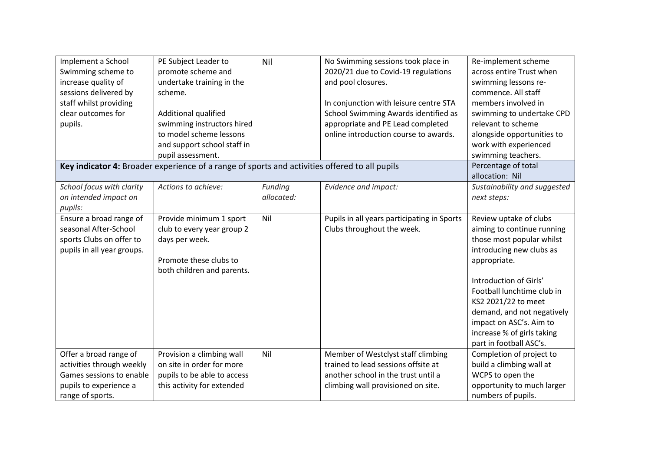| Implement a School<br>Swimming scheme to<br>increase quality of<br>sessions delivered by<br>staff whilst providing<br>clear outcomes for<br>pupils. | PE Subject Leader to<br>promote scheme and<br>undertake training in the<br>scheme.<br>Additional qualified<br>swimming instructors hired<br>to model scheme lessons<br>and support school staff in | Nil                   | No Swimming sessions took place in<br>2020/21 due to Covid-19 regulations<br>and pool closures.<br>In conjunction with leisure centre STA<br>School Swimming Awards identified as<br>appropriate and PE Lead completed<br>online introduction course to awards. | Re-implement scheme<br>across entire Trust when<br>swimming lessons re-<br>commence. All staff<br>members involved in<br>swimming to undertake CPD<br>relevant to scheme<br>alongside opportunities to<br>work with experienced                                                                                                |
|-----------------------------------------------------------------------------------------------------------------------------------------------------|----------------------------------------------------------------------------------------------------------------------------------------------------------------------------------------------------|-----------------------|-----------------------------------------------------------------------------------------------------------------------------------------------------------------------------------------------------------------------------------------------------------------|--------------------------------------------------------------------------------------------------------------------------------------------------------------------------------------------------------------------------------------------------------------------------------------------------------------------------------|
|                                                                                                                                                     | pupil assessment.<br>Key indicator 4: Broader experience of a range of sports and activities offered to all pupils                                                                                 |                       |                                                                                                                                                                                                                                                                 | swimming teachers.<br>Percentage of total                                                                                                                                                                                                                                                                                      |
| School focus with clarity<br>on intended impact on<br>pupils:                                                                                       | Actions to achieve:                                                                                                                                                                                | Funding<br>allocated: | Evidence and impact:                                                                                                                                                                                                                                            | allocation: Nil<br>Sustainability and suggested<br>next steps:                                                                                                                                                                                                                                                                 |
| Ensure a broad range of<br>seasonal After-School<br>sports Clubs on offer to<br>pupils in all year groups.                                          | Provide minimum 1 sport<br>club to every year group 2<br>days per week.<br>Promote these clubs to<br>both children and parents.                                                                    | Nil                   | Pupils in all years participating in Sports<br>Clubs throughout the week.                                                                                                                                                                                       | Review uptake of clubs<br>aiming to continue running<br>those most popular whilst<br>introducing new clubs as<br>appropriate.<br>Introduction of Girls'<br>Football lunchtime club in<br>KS2 2021/22 to meet<br>demand, and not negatively<br>impact on ASC's. Aim to<br>increase % of girls taking<br>part in football ASC's. |
| Offer a broad range of<br>activities through weekly<br>Games sessions to enable<br>pupils to experience a<br>range of sports.                       | Provision a climbing wall<br>on site in order for more<br>pupils to be able to access<br>this activity for extended                                                                                | Nil                   | Member of Westclyst staff climbing<br>trained to lead sessions offsite at<br>another school in the trust until a<br>climbing wall provisioned on site.                                                                                                          | Completion of project to<br>build a climbing wall at<br>WCPS to open the<br>opportunity to much larger<br>numbers of pupils.                                                                                                                                                                                                   |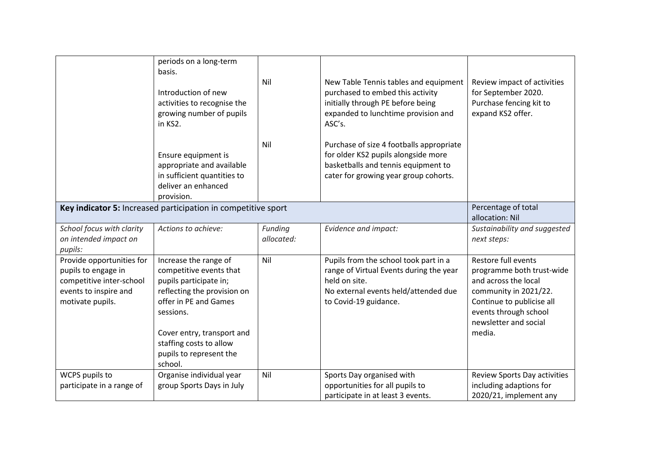|                                                                                                                           | periods on a long-term<br>basis.<br>Introduction of new<br>activities to recognise the<br>growing number of pupils<br>in KS2.                                                                                                                  | Nil                   | New Table Tennis tables and equipment<br>purchased to embed this activity<br>initially through PE before being<br>expanded to lunchtime provision and<br>ASC's.    | Review impact of activities<br>for September 2020.<br>Purchase fencing kit to<br>expand KS2 offer.                                                                                         |
|---------------------------------------------------------------------------------------------------------------------------|------------------------------------------------------------------------------------------------------------------------------------------------------------------------------------------------------------------------------------------------|-----------------------|--------------------------------------------------------------------------------------------------------------------------------------------------------------------|--------------------------------------------------------------------------------------------------------------------------------------------------------------------------------------------|
|                                                                                                                           | Ensure equipment is<br>appropriate and available<br>in sufficient quantities to<br>deliver an enhanced<br>provision.                                                                                                                           | Nil                   | Purchase of size 4 footballs appropriate<br>for older KS2 pupils alongside more<br>basketballs and tennis equipment to<br>cater for growing year group cohorts.    |                                                                                                                                                                                            |
|                                                                                                                           | Key indicator 5: Increased participation in competitive sport                                                                                                                                                                                  |                       |                                                                                                                                                                    | Percentage of total<br>allocation: Nil                                                                                                                                                     |
| School focus with clarity<br>on intended impact on<br>pupils:                                                             | Actions to achieve:                                                                                                                                                                                                                            | Funding<br>allocated: | Evidence and impact:                                                                                                                                               | Sustainability and suggested<br>next steps:                                                                                                                                                |
| Provide opportunities for<br>pupils to engage in<br>competitive inter-school<br>events to inspire and<br>motivate pupils. | Increase the range of<br>competitive events that<br>pupils participate in;<br>reflecting the provision on<br>offer in PE and Games<br>sessions.<br>Cover entry, transport and<br>staffing costs to allow<br>pupils to represent the<br>school. | Nil                   | Pupils from the school took part in a<br>range of Virtual Events during the year<br>held on site.<br>No external events held/attended due<br>to Covid-19 guidance. | Restore full events<br>programme both trust-wide<br>and across the local<br>community in 2021/22.<br>Continue to publicise all<br>events through school<br>newsletter and social<br>media. |
| WCPS pupils to<br>participate in a range of                                                                               | Organise individual year<br>group Sports Days in July                                                                                                                                                                                          | Nil                   | Sports Day organised with<br>opportunities for all pupils to<br>participate in at least 3 events.                                                                  | Review Sports Day activities<br>including adaptions for<br>2020/21, implement any                                                                                                          |